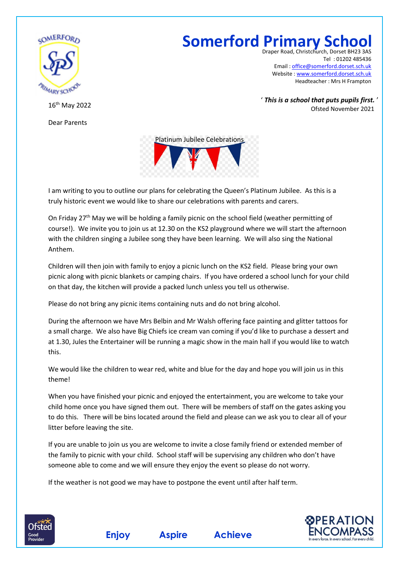

16 th May 2022

Dear Parents

**Somerford Primary School**

Draper Road, Christchurch, Dors Tel : 01202 485436 Email : [office@somerford.dorset.sch.uk](mailto:office@somerford.dorset.sch.uk) Website : [www.somerford.dorset.sch.uk](http://www.somerford.dorset.sch.uk/) Headteacher : Mrs H Frampton

' *This is a school that puts pupils first.* ' Ofsted November 2021



I am writing to you to outline our plans for celebrating the Queen's Platinum Jubilee. As this is a truly historic event we would like to share our celebrations with parents and carers.

On Friday 27<sup>th</sup> May we will be holding a family picnic on the school field (weather permitting of course!). We invite you to join us at 12.30 on the KS2 playground where we will start the afternoon with the children singing a Jubilee song they have been learning. We will also sing the National Anthem.

Children will then join with family to enjoy a picnic lunch on the KS2 field. Please bring your own picnic along with picnic blankets or camping chairs. If you have ordered a school lunch for your child on that day, the kitchen will provide a packed lunch unless you tell us otherwise.

Please do not bring any picnic items containing nuts and do not bring alcohol.

During the afternoon we have Mrs Belbin and Mr Walsh offering face painting and glitter tattoos for a small charge. We also have Big Chiefs ice cream van coming if you'd like to purchase a dessert and at 1.30, Jules the Entertainer will be running a magic show in the main hall if you would like to watch this.

We would like the children to wear red, white and blue for the day and hope you will join us in this theme!

When you have finished your picnic and enjoyed the entertainment, you are welcome to take your child home once you have signed them out. There will be members of staff on the gates asking you to do this. There will be bins located around the field and please can we ask you to clear all of your litter before leaving the site.

If you are unable to join us you are welcome to invite a close family friend or extended member of the family to picnic with your child. School staff will be supervising any children who don't have someone able to come and we will ensure they enjoy the event so please do not worry.

If the weather is not good we may have to postpone the event until after half term.

**Enjoy Aspire Achieve**